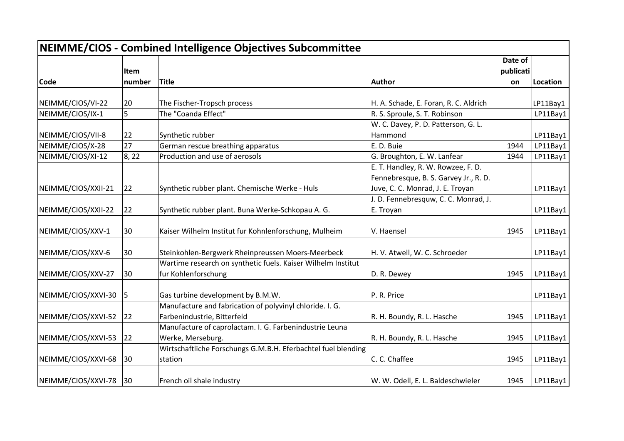| NEIMME/CIOS - Combined Intelligence Objectives Subcommittee |        |                                                               |                                                |                      |          |
|-------------------------------------------------------------|--------|---------------------------------------------------------------|------------------------------------------------|----------------------|----------|
|                                                             | Item   |                                                               |                                                | Date of<br>publicati |          |
| <b>Code</b>                                                 | number | <b>Title</b>                                                  | Author                                         | on                   | Location |
| NEIMME/CIOS/VI-22                                           | 20     | The Fischer-Tropsch process                                   | H. A. Schade, E. Foran, R. C. Aldrich          |                      | LP11Bay1 |
| NEIMME/CIOS/IX-1                                            | 5      | The "Coanda Effect"                                           | R. S. Sproule, S. T. Robinson                  |                      | LP11Bay1 |
|                                                             |        |                                                               |                                                |                      |          |
| NEIMME/CIOS/VII-8                                           | 22     | Synthetic rubber                                              | W. C. Davey, P. D. Patterson, G. L.<br>Hammond |                      | LP11Bay1 |
| NEIMME/CIOS/X-28                                            | 27     | German rescue breathing apparatus                             | E. D. Buie                                     | 1944                 | LP11Bay1 |
| NEIMME/CIOS/XI-12                                           | 8, 22  | Production and use of aerosols                                | G. Broughton, E. W. Lanfear                    | 1944                 | LP11Bay1 |
|                                                             |        |                                                               | E. T. Handley, R. W. Rowzee, F. D.             |                      |          |
|                                                             |        |                                                               | Fennebresque, B. S. Garvey Jr., R. D.          |                      |          |
|                                                             | 22     |                                                               | Juve, C. C. Monrad, J. E. Troyan               |                      |          |
| NEIMME/CIOS/XXII-21                                         |        | Synthetic rubber plant. Chemische Werke - Huls                | J. D. Fennebresquw, C. C. Monrad, J.           |                      | LP11Bay1 |
|                                                             |        |                                                               |                                                |                      |          |
| NEIMME/CIOS/XXII-22                                         | 22     | Synthetic rubber plant. Buna Werke-Schkopau A. G.             | E. Troyan                                      |                      | LP11Bay1 |
| NEIMME/CIOS/XXV-1                                           | 30     | Kaiser Wilhelm Institut fur Kohnlenforschung, Mulheim         | V. Haensel                                     | 1945                 | LP11Bay1 |
| NEIMME/CIOS/XXV-6                                           | 30     | Steinkohlen-Bergwerk Rheinpreussen Moers-Meerbeck             | H. V. Atwell, W. C. Schroeder                  |                      | LP11Bay1 |
|                                                             |        | Wartime research on synthetic fuels. Kaiser Wilhelm Institut  |                                                |                      |          |
| NEIMME/CIOS/XXV-27                                          | 30     | fur Kohlenforschung                                           | D. R. Dewey                                    | 1945                 | LP11Bay1 |
| NEIMME/CIOS/XXVI-30                                         | 5      | Gas turbine development by B.M.W.                             | P. R. Price                                    |                      | LP11Bay1 |
|                                                             |        | Manufacture and fabrication of polyvinyl chloride. I. G.      |                                                |                      |          |
| NEIMME/CIOS/XXVI-52                                         | 22     | Farbenindustrie, Bitterfeld                                   | R. H. Boundy, R. L. Hasche                     | 1945                 | LP11Bay1 |
|                                                             |        | Manufacture of caprolactam. I. G. Farbenindustrie Leuna       |                                                |                      |          |
| NEIMME/CIOS/XXVI-53                                         | 22     | Werke, Merseburg.                                             | R. H. Boundy, R. L. Hasche                     | 1945                 | LP11Bay1 |
|                                                             |        | Wirtschaftliche Forschungs G.M.B.H. Eferbachtel fuel blending |                                                |                      |          |
| NEIMME/CIOS/XXVI-68                                         | 30     | station                                                       | C. C. Chaffee                                  | 1945                 | LP11Bay1 |
| NEIMME/CIOS/XXVI-78                                         | 30     | French oil shale industry                                     | W. W. Odell, E. L. Baldeschwieler              | 1945                 | LP11Bay1 |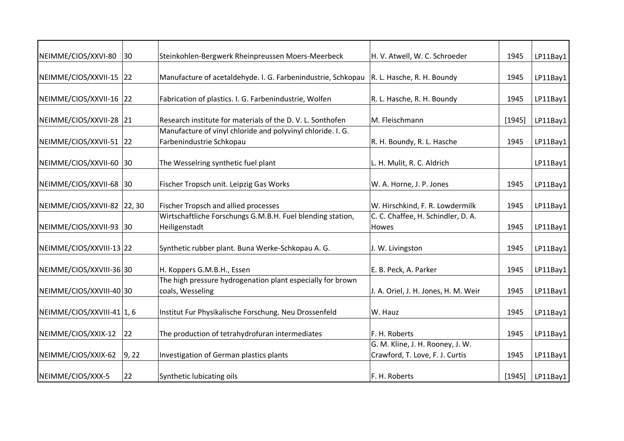| NEIMME/CIOS/XXVI-80                                                                                                                              | $ 30\rangle$ | Steinkohlen-Bergwerk Rheinpreussen Moers-Meerbeck                              | H. V. Atwell, W. C. Schroeder                                       | 1945   | LP11Bay1 |
|--------------------------------------------------------------------------------------------------------------------------------------------------|--------------|--------------------------------------------------------------------------------|---------------------------------------------------------------------|--------|----------|
| NEIMME/CIOS/XXVII-15 22                                                                                                                          |              | Manufacture of acetaldehyde. I. G. Farbenindustrie, Schkopau                   | R. L. Hasche, R. H. Boundy                                          | 1945   | LP11Bay1 |
| NEIMME/CIOS/XXVII-16 22                                                                                                                          |              | Fabrication of plastics. I. G. Farbenindustrie, Wolfen                         | R. L. Hasche, R. H. Boundy<br>1945                                  |        | LP11Bay1 |
| NEIMME/CIOS/XXVII-28 21                                                                                                                          |              | Research institute for materials of the D.V.L. Sonthofen                       | M. Fleischmann                                                      | [1945] | LP11Bay1 |
| Manufacture of vinyl chloride and polyvinyl chloride. I. G.<br>NEIMME/CIOS/XXVII-51 22<br>Farbenindustrie Schkopau<br>R. H. Boundy, R. L. Hasche |              | 1945                                                                           | LP11Bay1                                                            |        |          |
| NEIMME/CIOS/XXVII-60 30                                                                                                                          |              | The Wesselring synthetic fuel plant                                            | L. H. Mulit, R. C. Aldrich                                          |        | LP11Bay1 |
| NEIMME/CIOS/XXVII-68 30                                                                                                                          |              | Fischer Tropsch unit. Leipzig Gas Works                                        | W. A. Horne, J. P. Jones                                            | 1945   | LP11Bay1 |
| NEIMME/CIOS/XXVII-82 22, 30                                                                                                                      |              | Fischer Tropsch and allied processes                                           | W. Hirschkind, F. R. Lowdermilk                                     | 1945   | LP11Bay1 |
| NEIMME/CIOS/XXVII-93 30                                                                                                                          |              | Wirtschaftliche Forschungs G.M.B.H. Fuel blending station,<br>Heiligenstadt    | C. C. Chaffee, H. Schindler, D. A.<br>Howes                         | 1945   | LP11Bay1 |
| NEIMME/CIOS/XXVIII-13 22                                                                                                                         |              | Synthetic rubber plant. Buna Werke-Schkopau A. G.                              | J. W. Livingston                                                    | 1945   | LP11Bay1 |
| NEIMME/CIOS/XXVIII-36 30                                                                                                                         |              | H. Koppers G.M.B.H., Essen                                                     | E. B. Peck, A. Parker                                               | 1945   | LP11Bay1 |
| NEIMME/CIOS/XXVIII-40 30                                                                                                                         |              | The high pressure hydrogenation plant especially for brown<br>coals, Wesseling | J. A. Oriel, J. H. Jones, H. M. Weir                                | 1945   | LP11Bay1 |
| NEIMME/CIOS/XXVIII-41 1, 6                                                                                                                       |              | Institut Fur Physikalische Forschung. Neu Drossenfeld                          | W. Hauz                                                             | 1945   | LP11Bay1 |
| NEIMME/CIOS/XXIX-12 22                                                                                                                           |              | The production of tetrahydrofuran intermediates                                | F. H. Roberts                                                       | 1945   | LP11Bay1 |
| NEIMME/CIOS/XXIX-62                                                                                                                              | 9, 22        | Investigation of German plastics plants                                        | G. M. Kline, J. H. Rooney, J. W.<br>Crawford, T. Love, F. J. Curtis | 1945   | LP11Bay1 |
| NEIMME/CIOS/XXX-5                                                                                                                                | 22           | Synthetic lubicating oils                                                      | F. H. Roberts                                                       | [1945] | LP11Bay1 |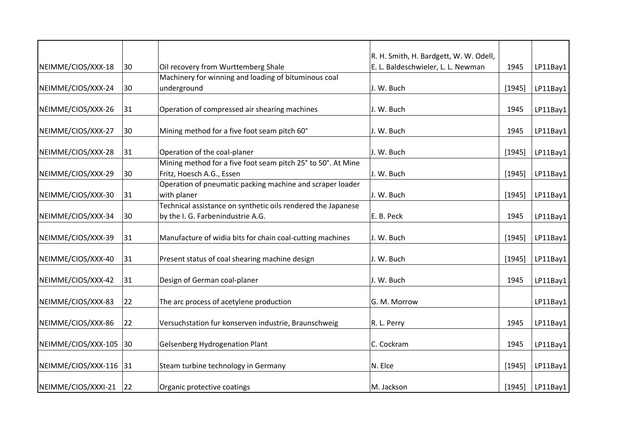|                        |    |                                                              | R. H. Smith, H. Bardgett, W. W. Odell, |          |          |
|------------------------|----|--------------------------------------------------------------|----------------------------------------|----------|----------|
| NEIMME/CIOS/XXX-18     | 30 | Oil recovery from Wurttemberg Shale                          | E. L. Baldeschwieler, L. L. Newman     | 1945     | LP11Bay1 |
|                        |    | Machinery for winning and loading of bituminous coal         |                                        |          |          |
| NEIMME/CIOS/XXX-24     | 30 | underground                                                  | J. W. Buch                             | [1945]   | LP11Bay1 |
|                        |    |                                                              |                                        |          |          |
| NEIMME/CIOS/XXX-26     | 31 | Operation of compressed air shearing machines                | J. W. Buch                             | 1945     | LP11Bay1 |
|                        |    |                                                              |                                        |          |          |
| NEIMME/CIOS/XXX-27     | 30 | Mining method for a five foot seam pitch 60°                 | J. W. Buch                             | 1945     | LP11Bay1 |
| NEIMME/CIOS/XXX-28     | 31 | Operation of the coal-planer                                 | J. W. Buch                             | $[1945]$ | LP11Bay1 |
|                        |    | Mining method for a five foot seam pitch 25° to 50°. At Mine |                                        |          |          |
| NEIMME/CIOS/XXX-29     | 30 | Fritz, Hoesch A.G., Essen                                    | J. W. Buch                             | [1945]   | LP11Bay1 |
|                        |    | Operation of pneumatic packing machine and scraper loader    |                                        |          |          |
| NEIMME/CIOS/XXX-30     | 31 | with planer                                                  | J. W. Buch                             | [1945]   | LP11Bay1 |
|                        |    | Technical assistance on synthetic oils rendered the Japanese |                                        |          |          |
| NEIMME/CIOS/XXX-34     | 30 | by the I. G. Farbenindustrie A.G.                            | E. B. Peck                             | 1945     | LP11Bay1 |
| NEIMME/CIOS/XXX-39     | 31 | Manufacture of widia bits for chain coal-cutting machines    | J. W. Buch                             | [1945]   | LP11Bay1 |
| NEIMME/CIOS/XXX-40     | 31 | Present status of coal shearing machine design               | J. W. Buch                             | [1945]   | LP11Bay1 |
|                        |    |                                                              |                                        |          |          |
| NEIMME/CIOS/XXX-42     | 31 | Design of German coal-planer                                 | J. W. Buch                             | 1945     | LP11Bay1 |
| NEIMME/CIOS/XXX-83     | 22 | The arc process of acetylene production                      | G. M. Morrow                           |          | LP11Bay1 |
| NEIMME/CIOS/XXX-86     | 22 | Versuchstation fur konserven industrie, Braunschweig         | R. L. Perry                            | 1945     | LP11Bay1 |
|                        |    |                                                              |                                        |          |          |
| NEIMME/CIOS/XXX-105 30 |    | <b>Gelsenberg Hydrogenation Plant</b>                        | C. Cockram                             | 1945     | LP11Bay1 |
| NEIMME/CIOS/XXX-116 31 |    | Steam turbine technology in Germany                          | N. Elce                                | [1945]   | LP11Bay1 |
| NEIMME/CIOS/XXXI-21    | 22 | Organic protective coatings                                  | M. Jackson                             | [1945]   | LP11Bay1 |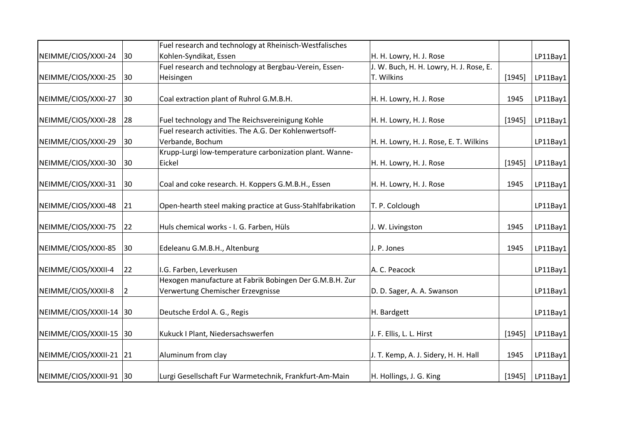|                         |    | Fuel research and technology at Rheinisch-Westfalisches                                      |                                         |        |          |
|-------------------------|----|----------------------------------------------------------------------------------------------|-----------------------------------------|--------|----------|
| NEIMME/CIOS/XXXI-24     | 30 | Kohlen-Syndikat, Essen                                                                       | H. H. Lowry, H. J. Rose                 |        | LP11Bay1 |
|                         |    | Fuel research and technology at Bergbau-Verein, Essen-                                       | J. W. Buch, H. H. Lowry, H. J. Rose, E. |        |          |
| NEIMME/CIOS/XXXI-25     | 30 | Heisingen                                                                                    | T. Wilkins                              | [1945] | LP11Bay1 |
| NEIMME/CIOS/XXXI-27     | 30 | Coal extraction plant of Ruhrol G.M.B.H.                                                     | H. H. Lowry, H. J. Rose                 | 1945   | LP11Bay1 |
| NEIMME/CIOS/XXXI-28     | 28 | Fuel technology and The Reichsvereinigung Kohle                                              | H. H. Lowry, H. J. Rose                 | [1945] | LP11Bay1 |
|                         |    | Fuel research activities. The A.G. Der Kohlenwertsoff-                                       |                                         |        |          |
| NEIMME/CIOS/XXXI-29     | 30 | Verbande, Bochum                                                                             | H. H. Lowry, H. J. Rose, E. T. Wilkins  |        | LP11Bay1 |
| NEIMME/CIOS/XXXI-30     | 30 | Krupp-Lurgi low-temperature carbonization plant. Wanne-<br>Eickel                            | H. H. Lowry, H. J. Rose                 | [1945] | LP11Bay1 |
| NEIMME/CIOS/XXXI-31     | 30 | Coal and coke research. H. Koppers G.M.B.H., Essen                                           | H. H. Lowry, H. J. Rose                 | 1945   | LP11Bay1 |
| NEIMME/CIOS/XXXI-48     | 21 | Open-hearth steel making practice at Guss-Stahlfabrikation                                   | T. P. Colclough                         |        | LP11Bay1 |
| NEIMME/CIOS/XXXI-75     | 22 | Huls chemical works - I. G. Farben, Hüls                                                     | J. W. Livingston                        | 1945   | LP11Bay1 |
| NEIMME/CIOS/XXXI-85     | 30 | Edeleanu G.M.B.H., Altenburg                                                                 | J. P. Jones                             | 1945   | LP11Bay1 |
| NEIMME/CIOS/XXXII-4     | 22 | I.G. Farben, Leverkusen                                                                      | A. C. Peacock                           |        | LP11Bay1 |
| NEIMME/CIOS/XXXII-8     | 2  | Hexogen manufacture at Fabrik Bobingen Der G.M.B.H. Zur<br>Verwertung Chemischer Erzevgnisse | D. D. Sager, A. A. Swanson              |        | LP11Bay1 |
| NEIMME/CIOS/XXXII-14    | 30 | Deutsche Erdol A. G., Regis                                                                  | H. Bardgett                             |        | LP11Bay1 |
| NEIMME/CIOS/XXXII-15    | 30 | Kukuck I Plant, Niedersachswerfen                                                            | J. F. Ellis, L. L. Hirst                | [1945] | LP11Bay1 |
| NEIMME/CIOS/XXXII-21 21 |    | Aluminum from clay                                                                           | J. T. Kemp, A. J. Sidery, H. H. Hall    | 1945   | LP11Bay1 |
| NEIMME/CIOS/XXXII-91 30 |    | Lurgi Gesellschaft Fur Warmetechnik, Frankfurt-Am-Main                                       | H. Hollings, J. G. King                 | [1945] | LP11Bay1 |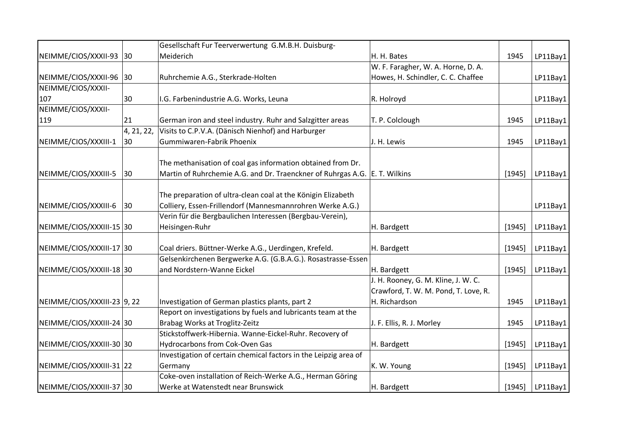|                             |              | Gesellschaft Fur Teerverwertung G.M.B.H. Duisburg-               |                                      |        |             |
|-----------------------------|--------------|------------------------------------------------------------------|--------------------------------------|--------|-------------|
| NEIMME/CIOS/XXXII-93 30     |              | Meiderich                                                        | H. H. Bates                          | 1945   | LP11Bay1    |
|                             |              |                                                                  | W. F. Faragher, W. A. Horne, D. A.   |        |             |
| NEIMME/CIOS/XXXII-96 30     |              | Ruhrchemie A.G., Sterkrade-Holten                                | Howes, H. Schindler, C. C. Chaffee   |        | LP11Bay1    |
| NEIMME/CIOS/XXXII-          |              |                                                                  |                                      |        |             |
| 107                         | 30           | I.G. Farbenindustrie A.G. Works, Leuna                           | R. Holroyd                           |        | LP11Bay1    |
| NEIMME/CIOS/XXXII-          |              |                                                                  |                                      |        |             |
| 119                         | 21           | German iron and steel industry. Ruhr and Salzgitter areas        | T. P. Colclough                      | 1945   | LP11Bay1    |
|                             | 4, 21, 22,   | Visits to C.P.V.A. (Dänisch Nienhof) and Harburger               |                                      |        |             |
| NEIMME/CIOS/XXXIII-1        | 30           | Gummiwaren-Fabrik Phoenix                                        | J. H. Lewis                          | 1945   | LP11Bay1    |
|                             |              |                                                                  |                                      |        |             |
|                             |              | The methanisation of coal gas information obtained from Dr.      |                                      |        |             |
| NEIMME/CIOS/XXXIII-5        | 30           | Martin of Ruhrchemie A.G. and Dr. Traenckner of Ruhrgas A.G.     | E. T. Wilkins                        | [1945] | LP11Bay1    |
|                             |              |                                                                  |                                      |        |             |
|                             |              | The preparation of ultra-clean coal at the Königin Elizabeth     |                                      |        |             |
| NEIMME/CIOS/XXXIII-6        | $ 30\rangle$ | Colliery, Essen-Frillendorf (Mannesmannrohren Werke A.G.)        |                                      |        | LP11Bay1    |
|                             |              | Verin für die Bergbaulichen Interessen (Bergbau-Verein),         |                                      |        |             |
| NEIMME/CIOS/XXXIII-15 30    |              | Heisingen-Ruhr                                                   | H. Bardgett                          | [1945] | LP11Bay1    |
|                             |              |                                                                  |                                      |        |             |
| NEIMME/CIOS/XXXIII-17 30    |              | Coal driers. Büttner-Werke A.G., Uerdingen, Krefeld.             | H. Bardgett                          | [1945] | LP11Bay1    |
|                             |              | Gelsenkirchenen Bergwerke A.G. (G.B.A.G.). Rosastrasse-Essen     |                                      |        |             |
| NEIMME/CIOS/XXXIII-18 30    |              | and Nordstern-Wanne Eickel                                       | H. Bardgett                          | [1945] | LP11Bay1    |
|                             |              |                                                                  | J. H. Rooney, G. M. Kline, J. W. C.  |        |             |
|                             |              |                                                                  | Crawford, T. W. M. Pond, T. Love, R. |        |             |
| NEIMME/CIOS/XXXIII-23 9, 22 |              | Investigation of German plastics plants, part 2                  | H. Richardson                        | 1945   | LP11Bay1    |
|                             |              | Report on investigations by fuels and lubricants team at the     |                                      |        |             |
| NEIMME/CIOS/XXXIII-24 30    |              | Brabag Works at Troglitz-Zeitz                                   | J. F. Ellis, R. J. Morley            | 1945   | LP11Bay1    |
|                             |              | Stickstoffwerk-Hibernia. Wanne-Eickel-Ruhr. Recovery of          |                                      |        |             |
| NEIMME/CIOS/XXXIII-30 30    |              | <b>Hydrocarbons from Cok-Oven Gas</b>                            | H. Bardgett                          | [1945] | LP11Bay1    |
|                             |              | Investigation of certain chemical factors in the Leipzig area of |                                      |        |             |
| NEIMME/CIOS/XXXIII-31 22    |              | Germany                                                          | K. W. Young                          | [1945] | LP11Bay1    |
|                             |              | Coke-oven installation of Reich-Werke A.G., Herman Göring        |                                      |        |             |
| NEIMME/CIOS/XXXIII-37 30    |              | Werke at Watenstedt near Brunswick                               | H. Bardgett                          | [1945] | $L$ P11Bay1 |